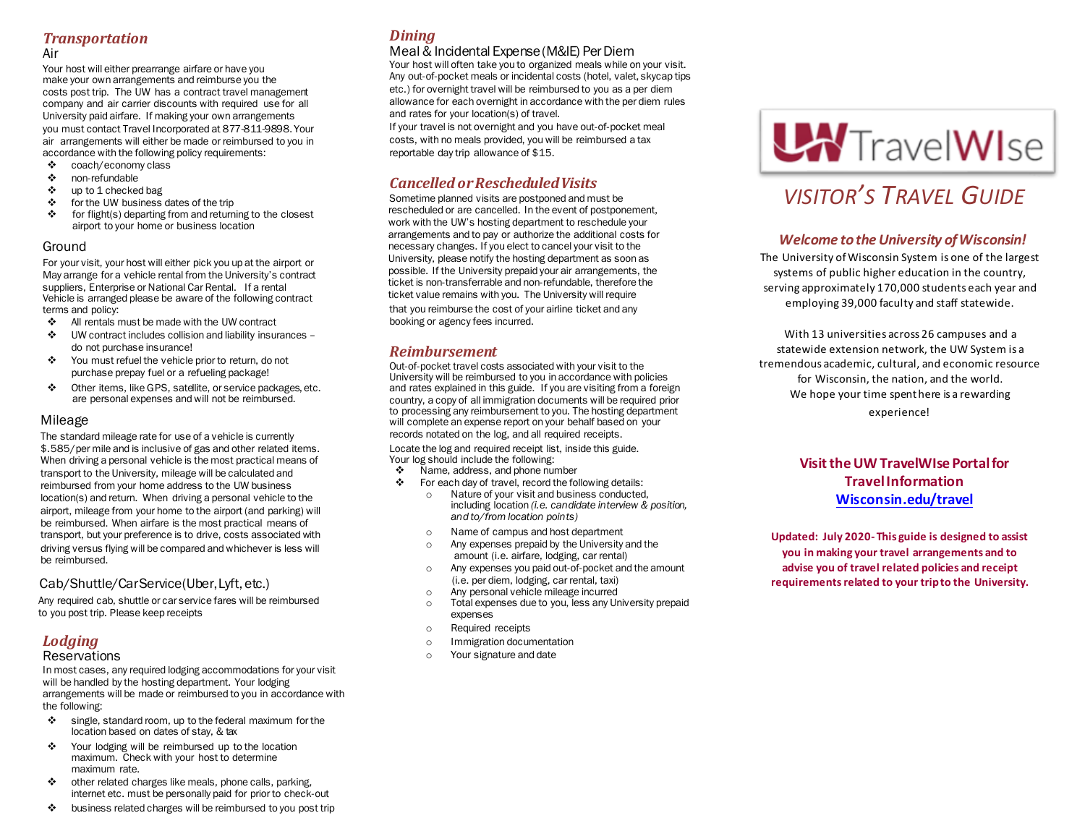#### *Transportation*

Air

Your host will either prearrange airfare or have you make your own arrangements and reimburse you the costs post trip. The UW has a contract travel management company and air carrier discounts with required use for all University paid airfare. If making your own arrangements you must contact Travel Incorporated at 877-811-9898. Your air arrangements will either be made or reimbursed to you in accordance with the following policy requirements:

- ❖ coach/economy class
- ❖ non-refundable
- ❖ up to 1 checked bag
- ❖ for the UW business dates of the trip
- ❖ for flight(s) departing from and returning to the closest airport to your home or business location

#### Ground

For your visit, your host will either pick you up at the airport or May arrange for a vehicle rental from the University's contract suppliers, Enterprise or National Car Rental. If a rental Vehicle is arranged please be aware of the following contract terms and policy:

- ❖ All rentals must be made with the UW contract
- ❖ UW contract includes collision and liability insurances do not purchase insurance!
- ❖ You must refuel the vehicle prior to return, do not purchase prepay fuel or a refueling package!
- ❖ Other items, like GPS, satellite, or service packages, etc. are personal expenses andwill not be reimbursed.

#### Mileage

The standard mileage rate for use of a vehicle is currently \$.585/per mile and is inclusive of gas and other related items. When driving a personal vehicle is the most practical means of transport to the University, mileage will be calculated and reimbursed from your home address to the UW business location(s) and return. When driving a personal vehicle to the airport, mileage from your home to the airport (and parking) will be reimbursed. When airfare is the most practical means of transport, but your preference is to drive, costs associated with driving versus flying will be compared andwhichever is less will be reimbursed.

#### Cab/Shuttle/CarService(Uber,Lyft, etc.)

Any required cab, shuttle or car service fares will be reimbursed to you post trip. Please keep receipts

# *Lodging*

#### **Reservations**

In most cases, any required lodging accommodations for your visit will be handled by the hosting department. Your lodging arrangements will be made or reimbursed to you in accordance with the following:

- ❖ single, standard room, up to the federal maximum for the location based on dates of stay, & tax
- ❖ Your lodging will be reimbursed up to the location maximum. Check with your host to determine maximum rate.
- ❖ other related charges like meals, phone calls, parking, internet etc. must be personally paid for prior to check-out
- ❖ business related charges will be reimbursed to you post trip

## *Dining*

#### Meal& Incidental Expense(M&IE) PerDiem

Your host will often take you to organized meals while on your visit. Any out-of-pocket meals or incidental costs (hotel, valet, skycap tips etc.) for overnight travel will be reimbursed to you as a per diem allowance for each overnight in accordance with the per diem rules and rates for your location(s) of travel.

If your travel is not overnight and you have out-of-pocket meal costs, with no meals provided, youwill be reimbursed a tax reportable day trip allowance of \$15.

#### *Cancelled orRescheduledVisits*

Sometime planned visits are postponed and must be rescheduled or are cancelled. In the event of postponement, work with the UW's hosting department to reschedule your arrangements and to pay or authorize the additional costs for necessary changes. If you elect to cancel your visit to the University, please notify the hosting department as soon as possible. If the University prepaid your air arrangements, the ticket is non-transferrable and non-refundable, therefore the ticket value remains with you. The University will require that you reimburse the cost of your airline ticket and any booking or agency fees incurred.

#### *Reimbursement*

Out-of-pocket travel costs associated with your visit to the University will be reimbursed to you in accordance with policies and rates explained in this guide. If you are visiting from a foreign country, a copy of all immigration documents will be required prior to processing any reimbursement to you. The hosting department will complete an expense report on your behalf based on your records notated on the log, and all required receipts.

Locate the log and required receipt list, inside this guide. Your log should include the following:<br>  $\clubsuit$  Name, address, and phone nur

- Name, address, and phone number
- ❖ For each day of travel, record the following details:
	- o Nature of your visit and business conducted, including location *(i.e. candidate interview & position, and to/from location points)*
	- o Name of campus and host department
	- o Any expenses prepaid by the University and the amount (i.e. airfare, lodging, car rental)
	- o Any expenses you paid out-of-pocket and the amount (i.e. per diem, lodging, car rental, taxi)
	- o Any personal vehicle mileage incurred
	- o Total expenses due to you, less any University prepaid expenses
	- o Required receipts
	- o Immigration documentation
	- o Your signature and date

# **LA**TravelWIse

# *VISITOR'S TRAVEL GUIDE*

#### *Welcome totheUniversity ofWisconsin!*

The University of Wisconsin System is one of the largest systems of public higher education in the country, serving approximately 170,000 students each year and employing 39,000 faculty and staff statewide.

With 13 universities across 26 campuses and a statewide extension network, the UW System is a tremendous academic, cultural, and economic resource for Wisconsin, the nation, and the world. We hope your time spent here is a rewarding experience!

#### **VisittheUW TravelWIse Portalfor Travel Information [Wisconsin.edu/travel](http://www.wisconsin.edu/travel)**

**Updated: July 2020- This guide is designed to assist you in making your travel arrangements and to advise you of travel related policies and receipt requirementsrelated to your tripto the University.**